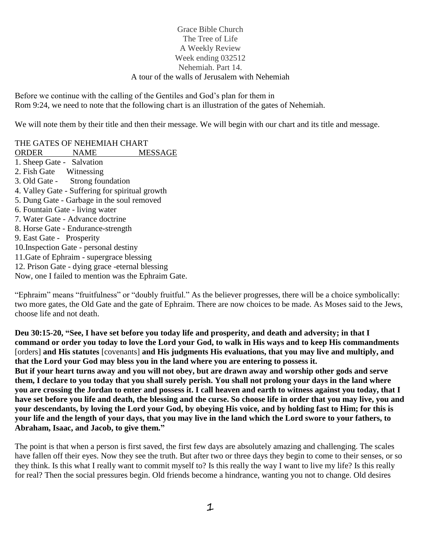# Grace Bible Church The Tree of Life A Weekly Review Week ending 032512 Nehemiah. Part 14. A tour of the walls of Jerusalem with Nehemiah

Before we continue with the calling of the Gentiles and God's plan for them in Rom 9:24, we need to note that the following chart is an illustration of the gates of Nehemiah.

We will note them by their title and then their message. We will begin with our chart and its title and message.

THE GATES OF NEHEMIAH CHART

ORDER NAME MESSAGE 1. Sheep Gate - Salvation 2. Fish Gate Witnessing 3. Old Gate - Strong foundation 4. Valley Gate - Suffering for spiritual growth 5. Dung Gate - Garbage in the soul removed 6. Fountain Gate - living water 7. Water Gate - Advance doctrine 8. Horse Gate - Endurance-strength 9. East Gate - Prosperity 10.Inspection Gate - personal destiny 11.Gate of Ephraim - supergrace blessing 12. Prison Gate - dying grace -eternal blessing Now, one I failed to mention was the Ephraim Gate.

"Ephraim" means "fruitfulness" or "doubly fruitful." As the believer progresses, there will be a choice symbolically: two more gates, the Old Gate and the gate of Ephraim. There are now choices to be made. As Moses said to the Jews, choose life and not death.

**Deu 30:15-20, "See, I have set before you today life and prosperity, and death and adversity; in that I command or order you today to love the Lord your God, to walk in His ways and to keep His commandments**  [orders] **and His statutes** [covenants] **and His judgments His evaluations, that you may live and multiply, and that the Lord your God may bless you in the land where you are entering to possess it. But if your heart turns away and you will not obey, but are drawn away and worship other gods and serve them, I declare to you today that you shall surely perish. You shall not prolong your days in the land where you are crossing the Jordan to enter and possess it. I call heaven and earth to witness against you today, that I have set before you life and death, the blessing and the curse. So choose life in order that you may live, you and your descendants, by loving the Lord your God, by obeying His voice, and by holding fast to Him; for this is your life and the length of your days, that you may live in the land which the Lord swore to your fathers, to Abraham, Isaac, and Jacob, to give them."**

The point is that when a person is first saved, the first few days are absolutely amazing and challenging. The scales have fallen off their eyes. Now they see the truth. But after two or three days they begin to come to their senses, or so they think. Is this what I really want to commit myself to? Is this really the way I want to live my life? Is this really for real? Then the social pressures begin. Old friends become a hindrance, wanting you not to change. Old desires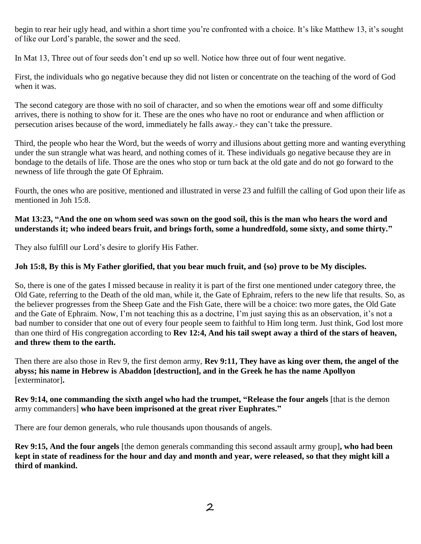begin to rear heir ugly head, and within a short time you're confronted with a choice. It's like Matthew 13, it's sought of like our Lord's parable, the sower and the seed.

In Mat 13, Three out of four seeds don't end up so well. Notice how three out of four went negative.

First, the individuals who go negative because they did not listen or concentrate on the teaching of the word of God when it was.

The second category are those with no soil of character, and so when the emotions wear off and some difficulty arrives, there is nothing to show for it. These are the ones who have no root or endurance and when affliction or persecution arises because of the word, immediately he falls away.- they can't take the pressure.

Third, the people who hear the Word, but the weeds of worry and illusions about getting more and wanting everything under the sun strangle what was heard, and nothing comes of it. These individuals go negative because they are in bondage to the details of life. Those are the ones who stop or turn back at the old gate and do not go forward to the newness of life through the gate Of Ephraim.

Fourth, the ones who are positive, mentioned and illustrated in verse 23 and fulfill the calling of God upon their life as mentioned in Joh 15:8.

## **Mat 13:23, "And the one on whom seed was sown on the good soil, this is the man who hears the word and understands it; who indeed bears fruit, and brings forth, some a hundredfold, some sixty, and some thirty."**

They also fulfill our Lord's desire to glorify His Father.

# **Joh 15:8, By this is My Father glorified, that you bear much fruit, and {so} prove to be My disciples.**

So, there is one of the gates I missed because in reality it is part of the first one mentioned under category three, the Old Gate, referring to the Death of the old man, while it, the Gate of Ephraim, refers to the new life that results. So, as the believer progresses from the Sheep Gate and the Fish Gate, there will be a choice: two more gates, the Old Gate and the Gate of Ephraim. Now, I'm not teaching this as a doctrine, I'm just saying this as an observation, it's not a bad number to consider that one out of every four people seem to faithful to Him long term. Just think, God lost more than one third of His congregation according to **Rev 12:4, And his tail swept away a third of the stars of heaven, and threw them to the earth.**

Then there are also those in Rev 9, the first demon army, **Rev 9:11, They have as king over them, the angel of the abyss; his name in Hebrew is Abaddon [destruction], and in the Greek he has the name Apollyon**  [exterminator]**.**

### **Rev 9:14, one commanding the sixth angel who had the trumpet, "Release the four angels** [that is the demon army commanders] **who have been imprisoned at the great river Euphrates."**

There are four demon generals, who rule thousands upon thousands of angels.

**Rev 9:15, And the four angels** [the demon generals commanding this second assault army group]**, who had been kept in state of readiness for the hour and day and month and year, were released, so that they might kill a third of mankind.**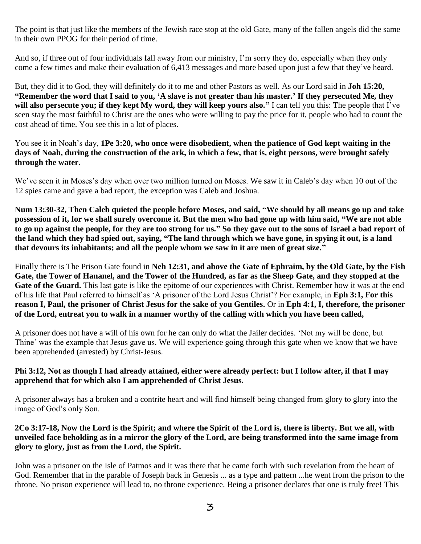The point is that just like the members of the Jewish race stop at the old Gate, many of the fallen angels did the same in their own PPOG for their period of time.

And so, if three out of four individuals fall away from our ministry, I'm sorry they do, especially when they only come a few times and make their evaluation of 6,413 messages and more based upon just a few that they've heard.

But, they did it to God, they will definitely do it to me and other Pastors as well. As our Lord said in **Joh 15:20, "Remember the word that I said to you, 'A slave is not greater than his master.' If they persecuted Me, they will also persecute you; if they kept My word, they will keep yours also."** I can tell you this: The people that I've seen stay the most faithful to Christ are the ones who were willing to pay the price for it, people who had to count the cost ahead of time. You see this in a lot of places.

You see it in Noah's day, **1Pe 3:20, who once were disobedient, when the patience of God kept waiting in the days of Noah, during the construction of the ark, in which a few, that is, eight persons, were brought safely through the water.**

We've seen it in Moses's day when over two million turned on Moses. We saw it in Caleb's day when 10 out of the 12 spies came and gave a bad report, the exception was Caleb and Joshua.

**Num 13:30-32, Then Caleb quieted the people before Moses, and said, "We should by all means go up and take possession of it, for we shall surely overcome it. But the men who had gone up with him said, "We are not able to go up against the people, for they are too strong for us." So they gave out to the sons of Israel a bad report of the land which they had spied out, saying, "The land through which we have gone, in spying it out, is a land that devours its inhabitants; and all the people whom we saw in it are men of great size."**

Finally there is The Prison Gate found in **Neh 12:31, and above the Gate of Ephraim, by the Old Gate, by the Fish Gate, the Tower of Hananel, and the Tower of the Hundred, as far as the Sheep Gate, and they stopped at the**  Gate of the Guard. This last gate is like the epitome of our experiences with Christ. Remember how it was at the end of his life that Paul referred to himself as 'A prisoner of the Lord Jesus Christ'? For example, in **Eph 3:1, For this reason I, Paul, the prisoner of Christ Jesus for the sake of you Gentiles.** Or in **Eph 4:1, I, therefore, the prisoner of the Lord, entreat you to walk in a manner worthy of the calling with which you have been called,**

A prisoner does not have a will of his own for he can only do what the Jailer decides. 'Not my will be done, but Thine' was the example that Jesus gave us. We will experience going through this gate when we know that we have been apprehended (arrested) by Christ-Jesus.

### **Phi 3:12, Not as though I had already attained, either were already perfect: but I follow after, if that I may apprehend that for which also I am apprehended of Christ Jesus.**

A prisoner always has a broken and a contrite heart and will find himself being changed from glory to glory into the image of God's only Son.

#### **2Co 3:17-18, Now the Lord is the Spirit; and where the Spirit of the Lord is, there is liberty. But we all, with unveiled face beholding as in a mirror the glory of the Lord, are being transformed into the same image from glory to glory, just as from the Lord, the Spirit.**

John was a prisoner on the Isle of Patmos and it was there that he came forth with such revelation from the heart of God. Remember that in the parable of Joseph back in Genesis ... as a type and pattern ...he went from the prison to the throne. No prison experience will lead to, no throne experience. Being a prisoner declares that one is truly free! This